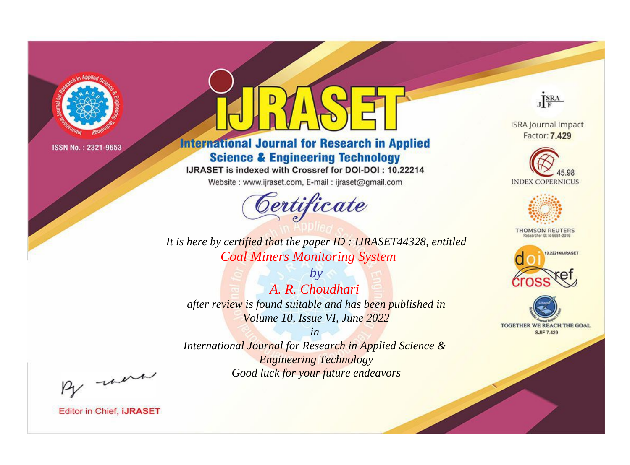

# **International Journal for Research in Applied Science & Engineering Technology**

IJRASET is indexed with Crossref for DOI-DOI: 10.22214

Website: www.ijraset.com, E-mail: ijraset@gmail.com



JERA

**ISRA Journal Impact** Factor: 7.429





**THOMSON REUTERS** 



TOGETHER WE REACH THE GOAL **SJIF 7.429** 

*It is here by certified that the paper ID : IJRASET44328, entitled Coal Miners Monitoring System*

*by A. R. Choudhari after review is found suitable and has been published in Volume 10, Issue VI, June 2022*

*in* 

*International Journal for Research in Applied Science & Engineering Technology Good luck for your future endeavors*

By morn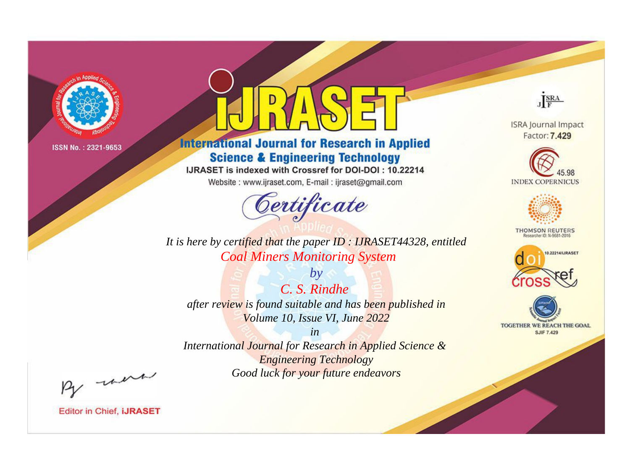

# **International Journal for Research in Applied Science & Engineering Technology**

IJRASET is indexed with Crossref for DOI-DOI: 10.22214

Website: www.ijraset.com, E-mail: ijraset@gmail.com



JERA

**ISRA Journal Impact** Factor: 7.429





**THOMSON REUTERS** 



TOGETHER WE REACH THE GOAL **SJIF 7.429** 

*It is here by certified that the paper ID : IJRASET44328, entitled Coal Miners Monitoring System*

*by C. S. Rindhe after review is found suitable and has been published in Volume 10, Issue VI, June 2022*

*in* 

*International Journal for Research in Applied Science & Engineering Technology Good luck for your future endeavors*

By morn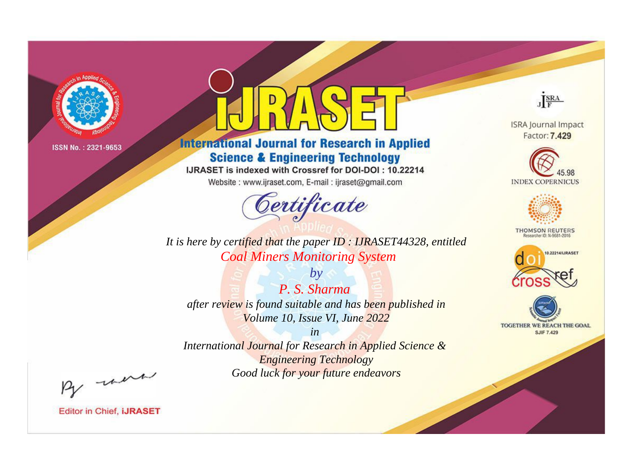

# **International Journal for Research in Applied Science & Engineering Technology**

IJRASET is indexed with Crossref for DOI-DOI: 10.22214

Website: www.ijraset.com, E-mail: ijraset@gmail.com



JERA **ISRA Journal Impact** 

Factor: 7.429





**THOMSON REUTERS** 



TOGETHER WE REACH THE GOAL **SJIF 7.429** 

*It is here by certified that the paper ID : IJRASET44328, entitled Coal Miners Monitoring System*

*by P. S. Sharma after review is found suitable and has been published in Volume 10, Issue VI, June 2022*

*in* 

*International Journal for Research in Applied Science & Engineering Technology Good luck for your future endeavors*

By morn